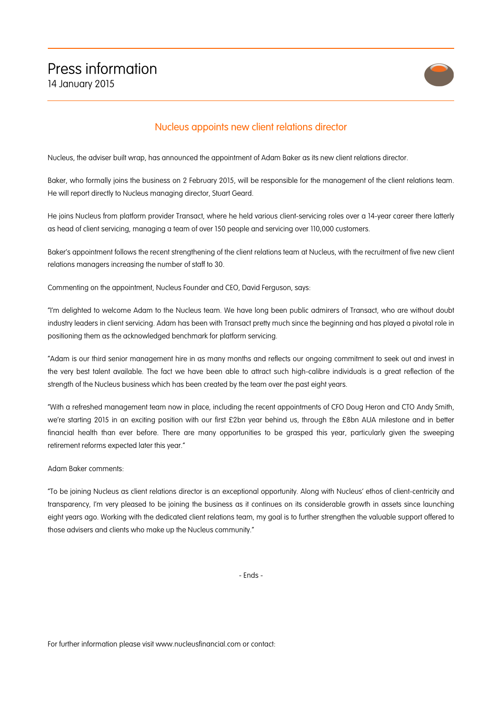

## Nucleus appoints new client relations director

Nucleus, the adviser built wrap, has announced the appointment of Adam Baker as its new client relations director.

Baker, who formally joins the business on 2 February 2015, will be responsible for the management of the client relations team. He will report directly to Nucleus managing director, Stuart Geard.

He joins Nucleus from platform provider Transact, where he held various client-servicing roles over a 14-year career there latterly as head of client servicing, managing a team of over 150 people and servicing over 110,000 customers.

Baker's appointment follows the recent strengthening of the client relations team at Nucleus, with the recruitment of five new client relations managers increasing the number of staff to 30.

Commenting on the appointment, Nucleus Founder and CEO, David Ferguson, says:

"I'm delighted to welcome Adam to the Nucleus team. We have long been public admirers of Transact, who are without doubt industry leaders in client servicing. Adam has been with Transact pretty much since the beginning and has played a pivotal role in positioning them as the acknowledged benchmark for platform servicing.

"Adam is our third senior management hire in as many months and reflects our ongoing commitment to seek out and invest in the very best talent available. The fact we have been able to attract such high-calibre individuals is a great reflection of the strength of the Nucleus business which has been created by the team over the past eight years.

"With a refreshed management team now in place, including the recent appointments of CFO Doug Heron and CTO Andy Smith, we're starting 2015 in an exciting position with our first £2bn year behind us, through the £8bn AUA milestone and in better financial health than ever before. There are many opportunities to be grasped this year, particularly given the sweeping retirement reforms expected later this year."

Adam Baker comments:

"To be joining Nucleus as client relations director is an exceptional opportunity. Along with Nucleus' ethos of client-centricity and transparency, I'm very pleased to be joining the business as it continues on its considerable growth in assets since launching eight years ago. Working with the dedicated client relations team, my goal is to further strengthen the valuable support offered to those advisers and clients who make up the Nucleus community."

- Ends -

For further information please visit www.nucleusfinancial.com or contact: